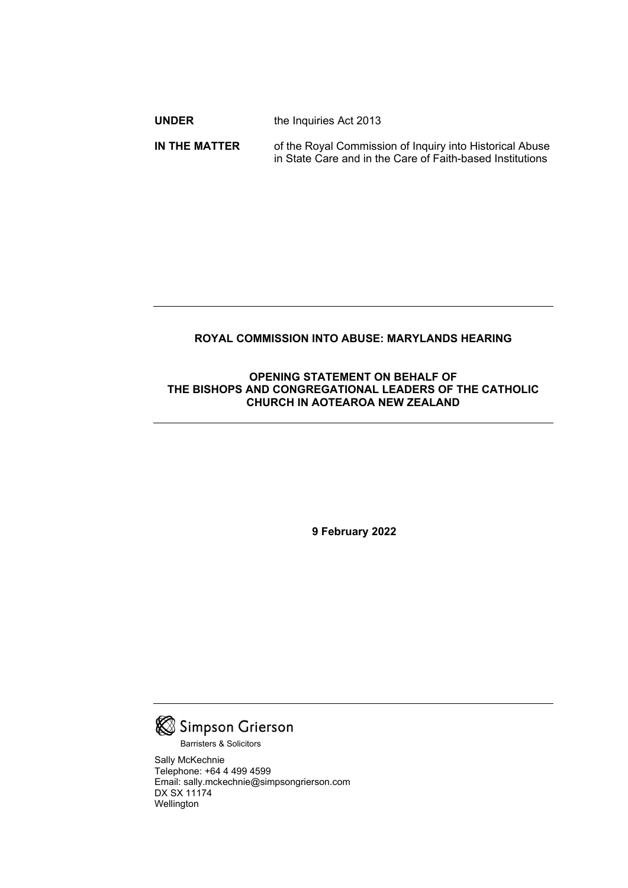| <b>UNDER</b> | the Inquiries Act 2013 |
|--------------|------------------------|
|              |                        |

**IN THE MATTER** of the Royal Commission of Inquiry into Historical Abuse in State Care and in the Care of Faith-based Institutions

# **ROYAL COMMISSION INTO ABUSE: MARYLANDS HEARING**

## **OPENING STATEMENT ON BEHALF OF THE BISHOPS AND CONGREGATIONAL LEADERS OF THE CATHOLIC CHURCH IN AOTEAROA NEW ZEALAND**

**9 February 2022**



Barristers & Solicitors

Sally McKechnie Telephone: +64 4 499 4599 Email: sally.mckechnie@simpsongrierson.com DX SX 11174 Wellington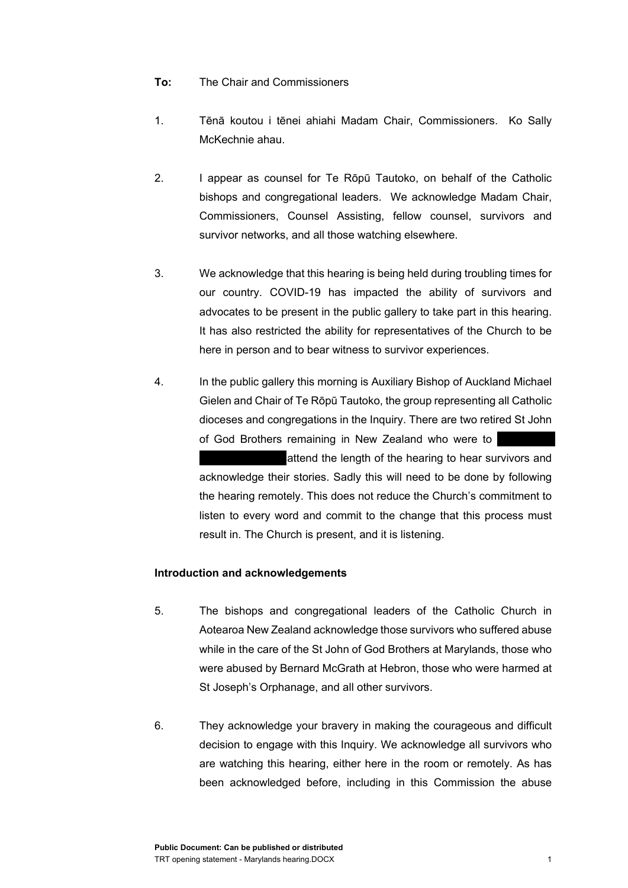#### **To:** The Chair and Commissioners

- 1. Tēnā koutou i tēnei ahiahi Madam Chair, Commissioners. Ko Sally McKechnie ahau.
- 2. I appear as counsel for Te Rōpū Tautoko, on behalf of the Catholic bishops and congregational leaders. We acknowledge Madam Chair, Commissioners, Counsel Assisting, fellow counsel, survivors and survivor networks, and all those watching elsewhere.
- 3. We acknowledge that this hearing is being held during troubling times for our country. COVID-19 has impacted the ability of survivors and advocates to be present in the public gallery to take part in this hearing. It has also restricted the ability for representatives of the Church to be here in person and to bear witness to survivor experiences.
- 4. In the public gallery this morning is Auxiliary Bishop of Auckland Michael Gielen and Chair of Te Rōpū Tautoko, the group representing all Catholic dioceses and congregations in the Inquiry. There are two retired St John of God Brothers remaining in New Zealand who were to

attend the length of the hearing to hear survivors and acknowledge their stories. Sadly this will need to be done by following the hearing remotely. This does not reduce the Church's commitment to listen to every word and commit to the change that this process must result in. The Church is present, and it is listening.

## **Introduction and acknowledgements**

- 5. The bishops and congregational leaders of the Catholic Church in Aotearoa New Zealand acknowledge those survivors who suffered abuse while in the care of the St John of God Brothers at Marylands, those who were abused by Bernard McGrath at Hebron, those who were harmed at St Joseph's Orphanage, and all other survivors.
- 6. They acknowledge your bravery in making the courageous and difficult decision to engage with this Inquiry. We acknowledge all survivors who are watching this hearing, either here in the room or remotely. As has been acknowledged before, including in this Commission the abuse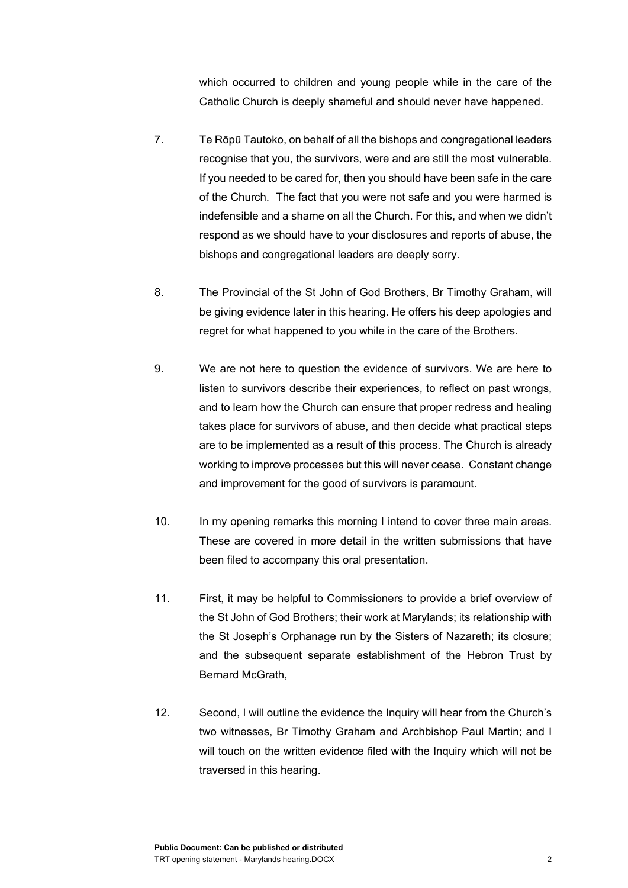which occurred to children and young people while in the care of the Catholic Church is deeply shameful and should never have happened.

- 7. Te Rōpū Tautoko, on behalf of all the bishops and congregational leaders recognise that you, the survivors, were and are still the most vulnerable. If you needed to be cared for, then you should have been safe in the care of the Church. The fact that you were not safe and you were harmed is indefensible and a shame on all the Church. For this, and when we didn't respond as we should have to your disclosures and reports of abuse, the bishops and congregational leaders are deeply sorry.
- 8. The Provincial of the St John of God Brothers, Br Timothy Graham, will be giving evidence later in this hearing. He offers his deep apologies and regret for what happened to you while in the care of the Brothers.
- 9. We are not here to question the evidence of survivors. We are here to listen to survivors describe their experiences, to reflect on past wrongs, and to learn how the Church can ensure that proper redress and healing takes place for survivors of abuse, and then decide what practical steps are to be implemented as a result of this process. The Church is already working to improve processes but this will never cease. Constant change and improvement for the good of survivors is paramount.
- 10. In my opening remarks this morning I intend to cover three main areas. These are covered in more detail in the written submissions that have been filed to accompany this oral presentation.
- 11. First, it may be helpful to Commissioners to provide a brief overview of the St John of God Brothers; their work at Marylands; its relationship with the St Joseph's Orphanage run by the Sisters of Nazareth; its closure; and the subsequent separate establishment of the Hebron Trust by Bernard McGrath,
- 12. Second, I will outline the evidence the Inquiry will hear from the Church's two witnesses, Br Timothy Graham and Archbishop Paul Martin; and I will touch on the written evidence filed with the Inquiry which will not be traversed in this hearing.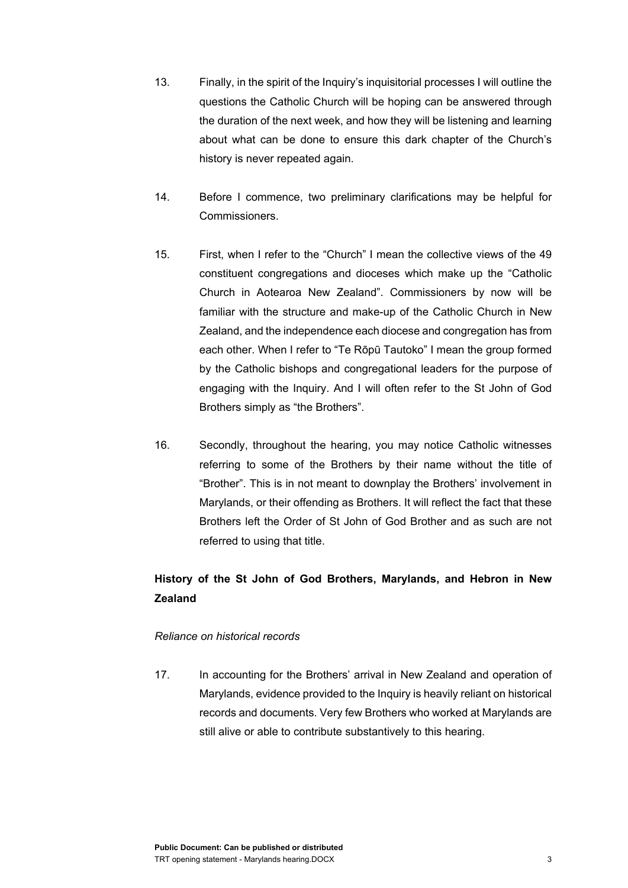- 13. Finally, in the spirit of the Inquiry's inquisitorial processes I will outline the questions the Catholic Church will be hoping can be answered through the duration of the next week, and how they will be listening and learning about what can be done to ensure this dark chapter of the Church's history is never repeated again.
- 14. Before I commence, two preliminary clarifications may be helpful for Commissioners.
- 15. First, when I refer to the "Church" I mean the collective views of the 49 constituent congregations and dioceses which make up the "Catholic Church in Aotearoa New Zealand". Commissioners by now will be familiar with the structure and make-up of the Catholic Church in New Zealand, and the independence each diocese and congregation has from each other. When I refer to "Te Rōpū Tautoko" I mean the group formed by the Catholic bishops and congregational leaders for the purpose of engaging with the Inquiry. And I will often refer to the St John of God Brothers simply as "the Brothers".
- 16. Secondly, throughout the hearing, you may notice Catholic witnesses referring to some of the Brothers by their name without the title of "Brother". This is in not meant to downplay the Brothers' involvement in Marylands, or their offending as Brothers. It will reflect the fact that these Brothers left the Order of St John of God Brother and as such are not referred to using that title.

# **History of the St John of God Brothers, Marylands, and Hebron in New Zealand**

## *Reliance on historical records*

17. In accounting for the Brothers' arrival in New Zealand and operation of Marylands, evidence provided to the Inquiry is heavily reliant on historical records and documents. Very few Brothers who worked at Marylands are still alive or able to contribute substantively to this hearing.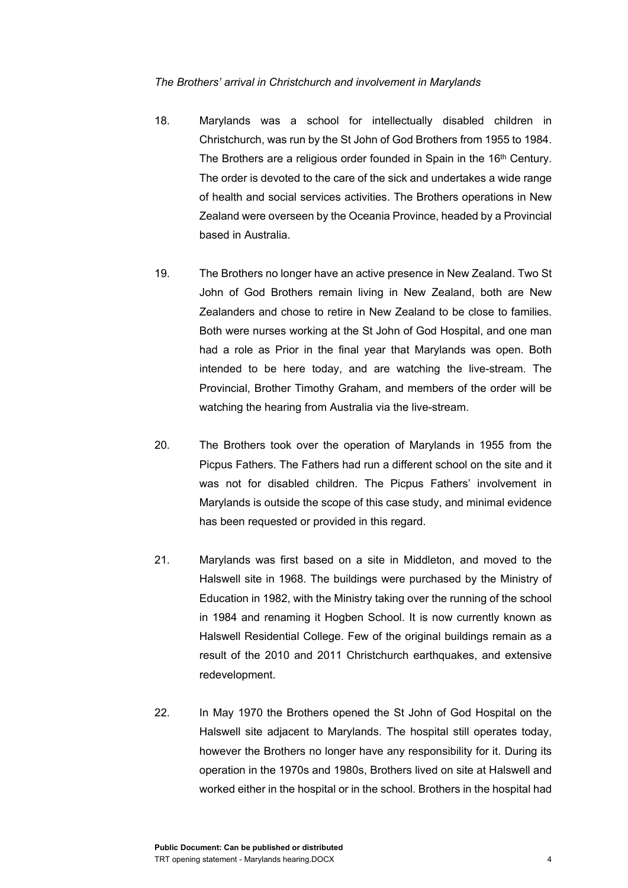#### *The Brothers' arrival in Christchurch and involvement in Marylands*

- 18. Marylands was a school for intellectually disabled children in Christchurch, was run by the St John of God Brothers from 1955 to 1984. The Brothers are a religious order founded in Spain in the 16<sup>th</sup> Century. The order is devoted to the care of the sick and undertakes a wide range of health and social services activities. The Brothers operations in New Zealand were overseen by the Oceania Province, headed by a Provincial based in Australia.
- 19. The Brothers no longer have an active presence in New Zealand. Two St John of God Brothers remain living in New Zealand, both are New Zealanders and chose to retire in New Zealand to be close to families. Both were nurses working at the St John of God Hospital, and one man had a role as Prior in the final year that Marylands was open. Both intended to be here today, and are watching the live-stream. The Provincial, Brother Timothy Graham, and members of the order will be watching the hearing from Australia via the live-stream.
- 20. The Brothers took over the operation of Marylands in 1955 from the Picpus Fathers. The Fathers had run a different school on the site and it was not for disabled children. The Picpus Fathers' involvement in Marylands is outside the scope of this case study, and minimal evidence has been requested or provided in this regard.
- 21. Marylands was first based on a site in Middleton, and moved to the Halswell site in 1968. The buildings were purchased by the Ministry of Education in 1982, with the Ministry taking over the running of the school in 1984 and renaming it Hogben School. It is now currently known as Halswell Residential College. Few of the original buildings remain as a result of the 2010 and 2011 Christchurch earthquakes, and extensive redevelopment.
- 22. In May 1970 the Brothers opened the St John of God Hospital on the Halswell site adjacent to Marylands. The hospital still operates today, however the Brothers no longer have any responsibility for it. During its operation in the 1970s and 1980s, Brothers lived on site at Halswell and worked either in the hospital or in the school. Brothers in the hospital had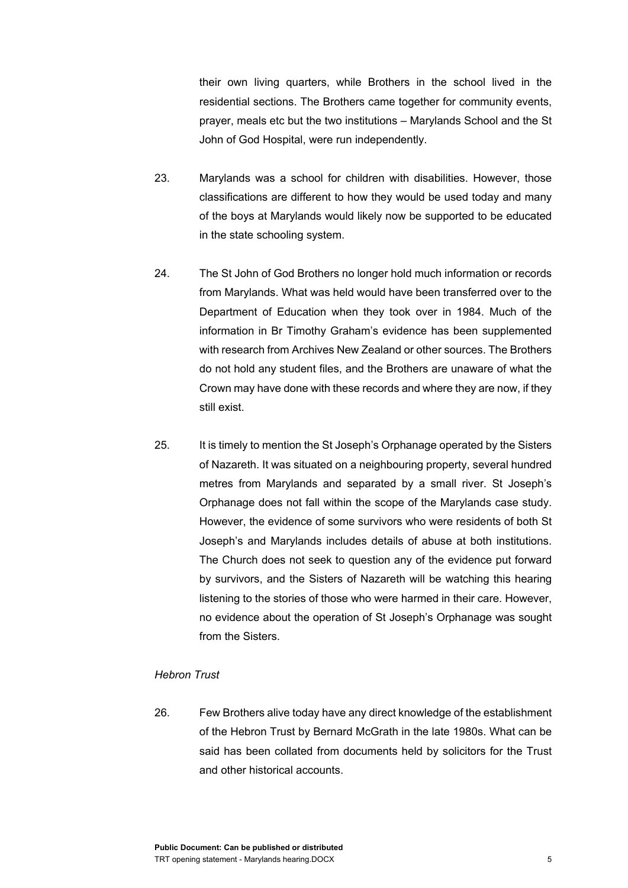their own living quarters, while Brothers in the school lived in the residential sections. The Brothers came together for community events, prayer, meals etc but the two institutions – Marylands School and the St John of God Hospital, were run independently.

- 23. Marylands was a school for children with disabilities. However, those classifications are different to how they would be used today and many of the boys at Marylands would likely now be supported to be educated in the state schooling system.
- 24. The St John of God Brothers no longer hold much information or records from Marylands. What was held would have been transferred over to the Department of Education when they took over in 1984. Much of the information in Br Timothy Graham's evidence has been supplemented with research from Archives New Zealand or other sources. The Brothers do not hold any student files, and the Brothers are unaware of what the Crown may have done with these records and where they are now, if they still exist.
- 25. It is timely to mention the St Joseph's Orphanage operated by the Sisters of Nazareth. It was situated on a neighbouring property, several hundred metres from Marylands and separated by a small river. St Joseph's Orphanage does not fall within the scope of the Marylands case study. However, the evidence of some survivors who were residents of both St Joseph's and Marylands includes details of abuse at both institutions. The Church does not seek to question any of the evidence put forward by survivors, and the Sisters of Nazareth will be watching this hearing listening to the stories of those who were harmed in their care. However, no evidence about the operation of St Joseph's Orphanage was sought from the Sisters.

#### *Hebron Trust*

26. Few Brothers alive today have any direct knowledge of the establishment of the Hebron Trust by Bernard McGrath in the late 1980s. What can be said has been collated from documents held by solicitors for the Trust and other historical accounts.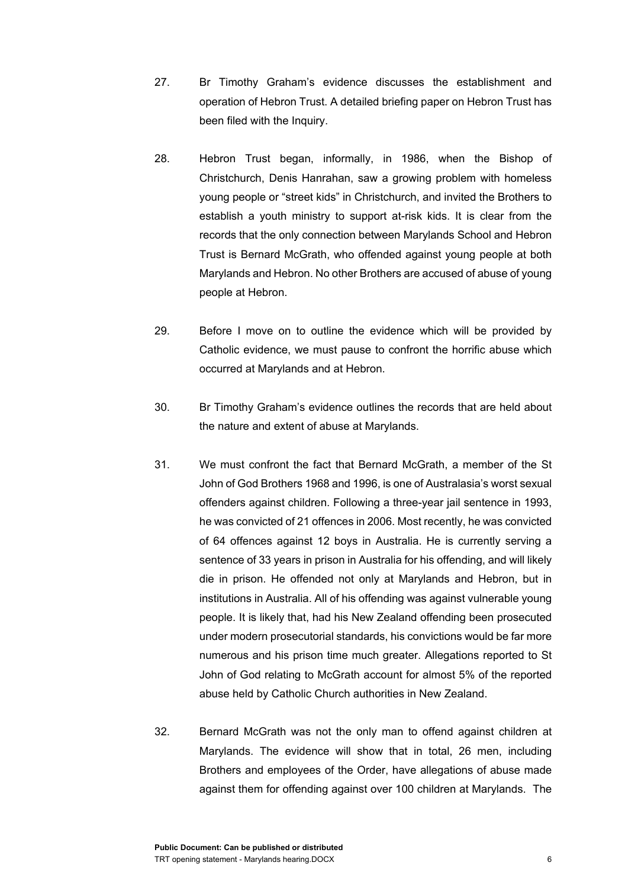- 27. Br Timothy Graham's evidence discusses the establishment and operation of Hebron Trust. A detailed briefing paper on Hebron Trust has been filed with the Inquiry.
- 28. Hebron Trust began, informally, in 1986, when the Bishop of Christchurch, Denis Hanrahan, saw a growing problem with homeless young people or "street kids" in Christchurch, and invited the Brothers to establish a youth ministry to support at-risk kids. It is clear from the records that the only connection between Marylands School and Hebron Trust is Bernard McGrath, who offended against young people at both Marylands and Hebron. No other Brothers are accused of abuse of young people at Hebron.
- 29. Before I move on to outline the evidence which will be provided by Catholic evidence, we must pause to confront the horrific abuse which occurred at Marylands and at Hebron.
- 30. Br Timothy Graham's evidence outlines the records that are held about the nature and extent of abuse at Marylands.
- 31. We must confront the fact that Bernard McGrath, a member of the St John of God Brothers 1968 and 1996, is one of Australasia's worst sexual offenders against children. Following a three-year jail sentence in 1993, he was convicted of 21 offences in 2006. Most recently, he was convicted of 64 offences against 12 boys in Australia. He is currently serving a sentence of 33 years in prison in Australia for his offending, and will likely die in prison. He offended not only at Marylands and Hebron, but in institutions in Australia. All of his offending was against vulnerable young people. It is likely that, had his New Zealand offending been prosecuted under modern prosecutorial standards, his convictions would be far more numerous and his prison time much greater. Allegations reported to St John of God relating to McGrath account for almost 5% of the reported abuse held by Catholic Church authorities in New Zealand.
- 32. Bernard McGrath was not the only man to offend against children at Marylands. The evidence will show that in total, 26 men, including Brothers and employees of the Order, have allegations of abuse made against them for offending against over 100 children at Marylands. The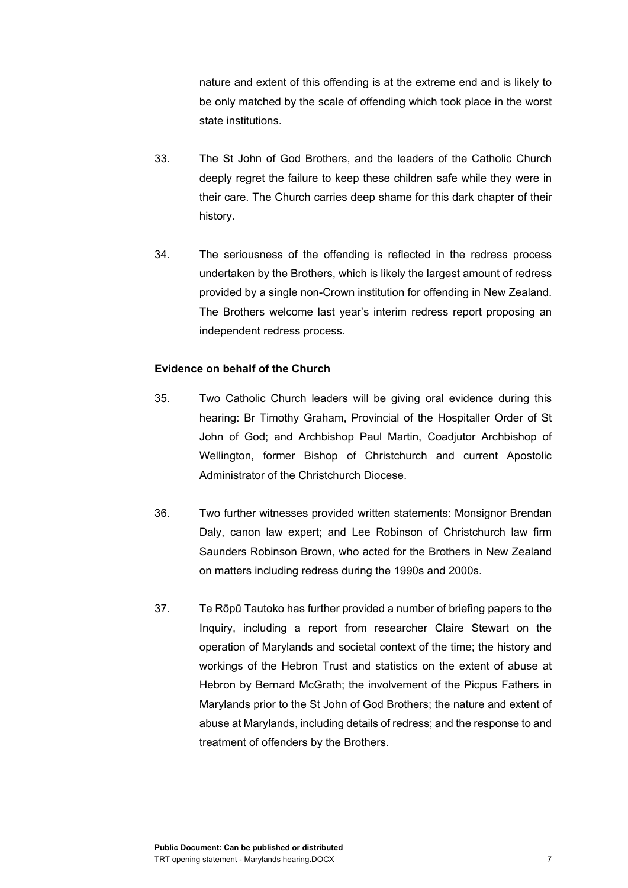nature and extent of this offending is at the extreme end and is likely to be only matched by the scale of offending which took place in the worst state institutions.

- 33. The St John of God Brothers, and the leaders of the Catholic Church deeply regret the failure to keep these children safe while they were in their care. The Church carries deep shame for this dark chapter of their history.
- 34. The seriousness of the offending is reflected in the redress process undertaken by the Brothers, which is likely the largest amount of redress provided by a single non-Crown institution for offending in New Zealand. The Brothers welcome last year's interim redress report proposing an independent redress process.

## **Evidence on behalf of the Church**

- 35. Two Catholic Church leaders will be giving oral evidence during this hearing: Br Timothy Graham, Provincial of the Hospitaller Order of St John of God; and Archbishop Paul Martin, Coadjutor Archbishop of Wellington, former Bishop of Christchurch and current Apostolic Administrator of the Christchurch Diocese.
- 36. Two further witnesses provided written statements: Monsignor Brendan Daly, canon law expert; and Lee Robinson of Christchurch law firm Saunders Robinson Brown, who acted for the Brothers in New Zealand on matters including redress during the 1990s and 2000s.
- 37. Te Rōpū Tautoko has further provided a number of briefing papers to the Inquiry, including a report from researcher Claire Stewart on the operation of Marylands and societal context of the time; the history and workings of the Hebron Trust and statistics on the extent of abuse at Hebron by Bernard McGrath; the involvement of the Picpus Fathers in Marylands prior to the St John of God Brothers; the nature and extent of abuse at Marylands, including details of redress; and the response to and treatment of offenders by the Brothers.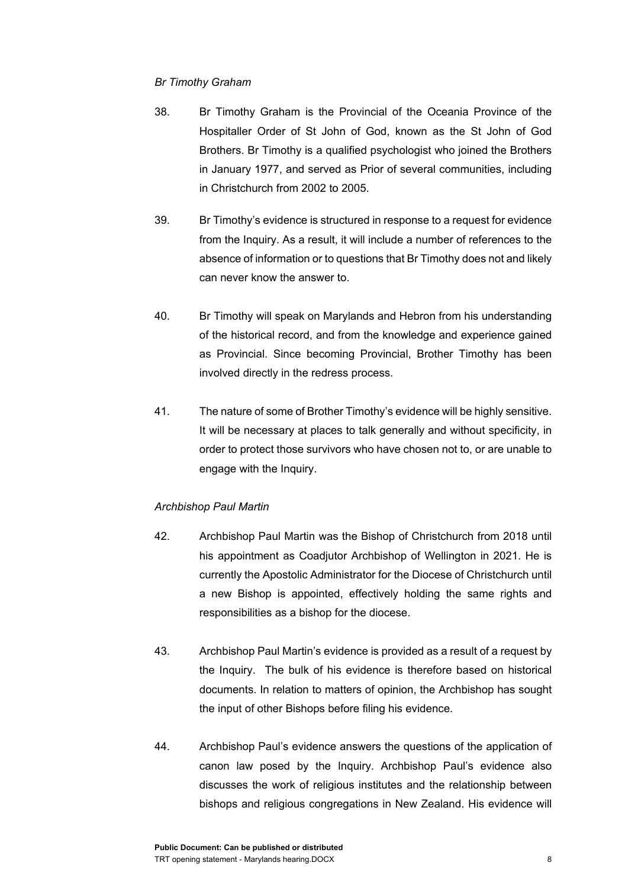## *Br Timothy Graham*

- 38. Br Timothy Graham is the Provincial of the Oceania Province of the Hospitaller Order of St John of God, known as the St John of God Brothers. Br Timothy is a qualified psychologist who joined the Brothers in January 1977, and served as Prior of several communities, including in Christchurch from 2002 to 2005.
- 39. Br Timothy's evidence is structured in response to a request for evidence from the Inquiry. As a result, it will include a number of references to the absence of information or to questions that Br Timothy does not and likely can never know the answer to.
- 40. Br Timothy will speak on Marylands and Hebron from his understanding of the historical record, and from the knowledge and experience gained as Provincial. Since becoming Provincial, Brother Timothy has been involved directly in the redress process.
- 41. The nature of some of Brother Timothy's evidence will be highly sensitive. It will be necessary at places to talk generally and without specificity, in order to protect those survivors who have chosen not to, or are unable to engage with the Inquiry.

## *Archbishop Paul Martin*

- 42. Archbishop Paul Martin was the Bishop of Christchurch from 2018 until his appointment as Coadjutor Archbishop of Wellington in 2021. He is currently the Apostolic Administrator for the Diocese of Christchurch until a new Bishop is appointed, effectively holding the same rights and responsibilities as a bishop for the diocese.
- 43. Archbishop Paul Martin's evidence is provided as a result of a request by the Inquiry. The bulk of his evidence is therefore based on historical documents. In relation to matters of opinion, the Archbishop has sought the input of other Bishops before filing his evidence.
- 44. Archbishop Paul's evidence answers the questions of the application of canon law posed by the Inquiry. Archbishop Paul's evidence also discusses the work of religious institutes and the relationship between bishops and religious congregations in New Zealand. His evidence will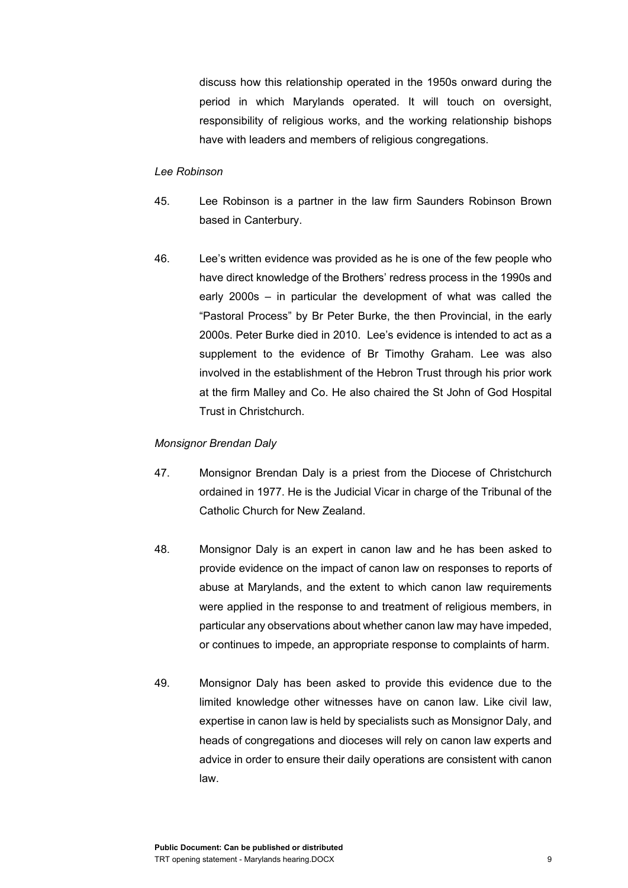discuss how this relationship operated in the 1950s onward during the period in which Marylands operated. It will touch on oversight, responsibility of religious works, and the working relationship bishops have with leaders and members of religious congregations.

#### *Lee Robinson*

- 45. Lee Robinson is a partner in the law firm Saunders Robinson Brown based in Canterbury.
- 46. Lee's written evidence was provided as he is one of the few people who have direct knowledge of the Brothers' redress process in the 1990s and early 2000s – in particular the development of what was called the "Pastoral Process" by Br Peter Burke, the then Provincial, in the early 2000s. Peter Burke died in 2010. Lee's evidence is intended to act as a supplement to the evidence of Br Timothy Graham. Lee was also involved in the establishment of the Hebron Trust through his prior work at the firm Malley and Co. He also chaired the St John of God Hospital Trust in Christchurch.

#### *Monsignor Brendan Daly*

- 47. Monsignor Brendan Daly is a priest from the Diocese of Christchurch ordained in 1977. He is the Judicial Vicar in charge of the Tribunal of the Catholic Church for New Zealand.
- 48. Monsignor Daly is an expert in canon law and he has been asked to provide evidence on the impact of canon law on responses to reports of abuse at Marylands, and the extent to which canon law requirements were applied in the response to and treatment of religious members, in particular any observations about whether canon law may have impeded, or continues to impede, an appropriate response to complaints of harm.
- 49. Monsignor Daly has been asked to provide this evidence due to the limited knowledge other witnesses have on canon law. Like civil law, expertise in canon law is held by specialists such as Monsignor Daly, and heads of congregations and dioceses will rely on canon law experts and advice in order to ensure their daily operations are consistent with canon law.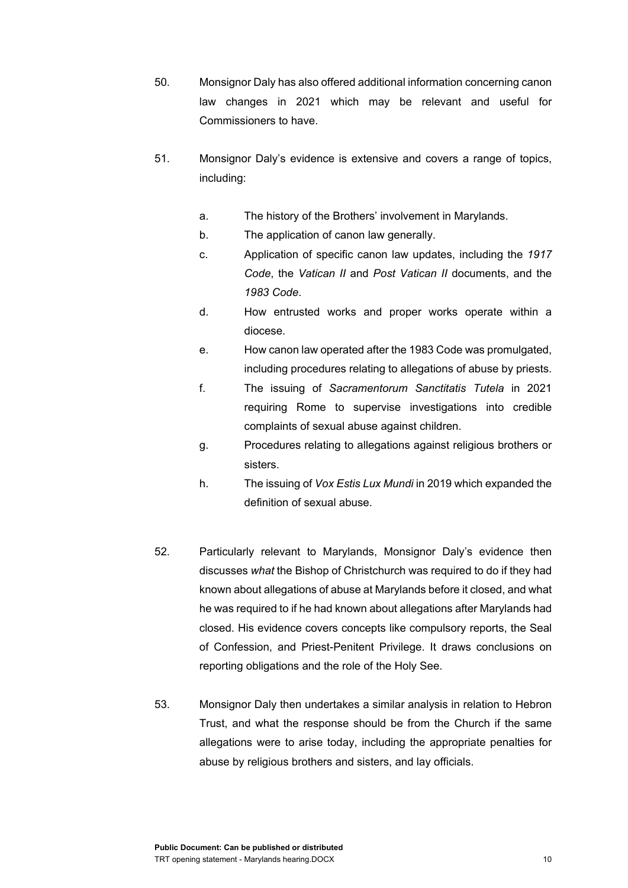- 50. Monsignor Daly has also offered additional information concerning canon law changes in 2021 which may be relevant and useful for Commissioners to have.
- 51. Monsignor Daly's evidence is extensive and covers a range of topics, including:
	- a. The history of the Brothers' involvement in Marylands.
	- b. The application of canon law generally.
	- c. Application of specific canon law updates, including the *1917 Code*, the *Vatican II* and *Post Vatican II* documents, and the *1983 Code*.
	- d. How entrusted works and proper works operate within a diocese.
	- e. How canon law operated after the 1983 Code was promulgated, including procedures relating to allegations of abuse by priests.
	- f. The issuing of *Sacramentorum Sanctitatis Tutela* in 2021 requiring Rome to supervise investigations into credible complaints of sexual abuse against children.
	- g. Procedures relating to allegations against religious brothers or sisters.
	- h. The issuing of *Vox Estis Lux Mundi* in 2019 which expanded the definition of sexual abuse.
- 52. Particularly relevant to Marylands, Monsignor Daly's evidence then discusses *what* the Bishop of Christchurch was required to do if they had known about allegations of abuse at Marylands before it closed, and what he was required to if he had known about allegations after Marylands had closed. His evidence covers concepts like compulsory reports, the Seal of Confession, and Priest-Penitent Privilege. It draws conclusions on reporting obligations and the role of the Holy See.
- 53. Monsignor Daly then undertakes a similar analysis in relation to Hebron Trust, and what the response should be from the Church if the same allegations were to arise today, including the appropriate penalties for abuse by religious brothers and sisters, and lay officials.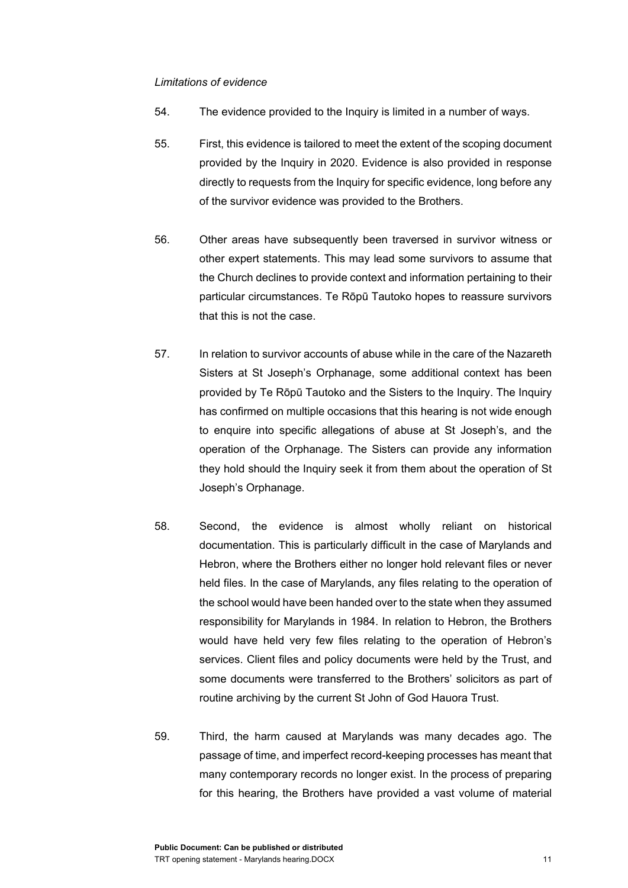#### *Limitations of evidence*

- 54. The evidence provided to the Inquiry is limited in a number of ways.
- 55. First, this evidence is tailored to meet the extent of the scoping document provided by the Inquiry in 2020. Evidence is also provided in response directly to requests from the Inquiry for specific evidence, long before any of the survivor evidence was provided to the Brothers.
- 56. Other areas have subsequently been traversed in survivor witness or other expert statements. This may lead some survivors to assume that the Church declines to provide context and information pertaining to their particular circumstances. Te Rōpū Tautoko hopes to reassure survivors that this is not the case.
- 57. In relation to survivor accounts of abuse while in the care of the Nazareth Sisters at St Joseph's Orphanage, some additional context has been provided by Te Rōpū Tautoko and the Sisters to the Inquiry. The Inquiry has confirmed on multiple occasions that this hearing is not wide enough to enquire into specific allegations of abuse at St Joseph's, and the operation of the Orphanage. The Sisters can provide any information they hold should the Inquiry seek it from them about the operation of St Joseph's Orphanage.
- 58. Second, the evidence is almost wholly reliant on historical documentation. This is particularly difficult in the case of Marylands and Hebron, where the Brothers either no longer hold relevant files or never held files. In the case of Marylands, any files relating to the operation of the school would have been handed over to the state when they assumed responsibility for Marylands in 1984. In relation to Hebron, the Brothers would have held very few files relating to the operation of Hebron's services. Client files and policy documents were held by the Trust, and some documents were transferred to the Brothers' solicitors as part of routine archiving by the current St John of God Hauora Trust.
- 59. Third, the harm caused at Marylands was many decades ago. The passage of time, and imperfect record-keeping processes has meant that many contemporary records no longer exist. In the process of preparing for this hearing, the Brothers have provided a vast volume of material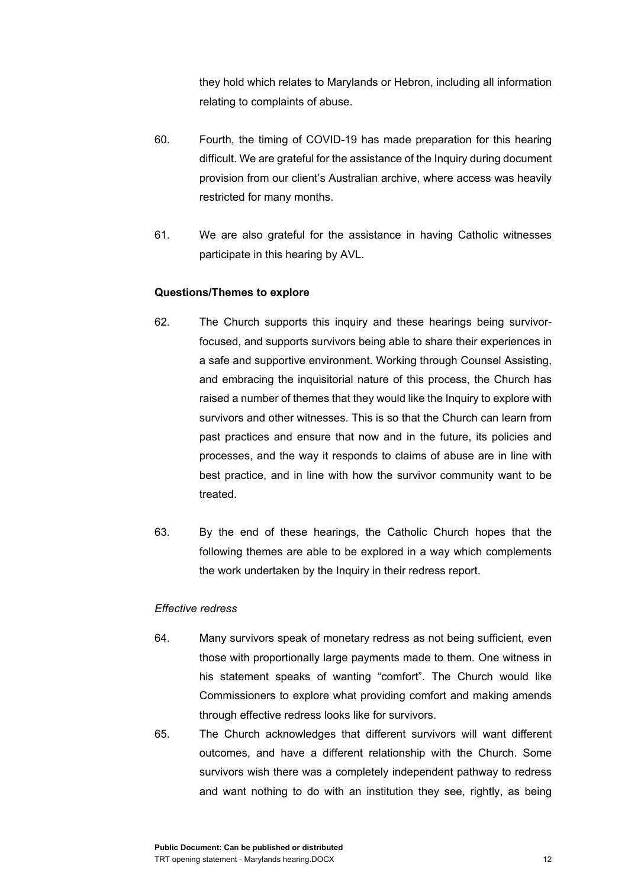they hold which relates to Marylands or Hebron, including all information relating to complaints of abuse.

- 60. Fourth, the timing of COVID-19 has made preparation for this hearing difficult. We are grateful for the assistance of the Inquiry during document provision from our client's Australian archive, where access was heavily restricted for many months.
- 61. We are also grateful for the assistance in having Catholic witnesses participate in this hearing by AVL.

## **Questions/Themes to explore**

- 62. The Church supports this inquiry and these hearings being survivorfocused, and supports survivors being able to share their experiences in a safe and supportive environment. Working through Counsel Assisting, and embracing the inquisitorial nature of this process, the Church has raised a number of themes that they would like the Inquiry to explore with survivors and other witnesses. This is so that the Church can learn from past practices and ensure that now and in the future, its policies and processes, and the way it responds to claims of abuse are in line with best practice, and in line with how the survivor community want to be treated.
- 63. By the end of these hearings, the Catholic Church hopes that the following themes are able to be explored in a way which complements the work undertaken by the Inquiry in their redress report.

## *Effective redress*

- 64. Many survivors speak of monetary redress as not being sufficient, even those with proportionally large payments made to them. One witness in his statement speaks of wanting "comfort". The Church would like Commissioners to explore what providing comfort and making amends through effective redress looks like for survivors.
- 65. The Church acknowledges that different survivors will want different outcomes, and have a different relationship with the Church. Some survivors wish there was a completely independent pathway to redress and want nothing to do with an institution they see, rightly, as being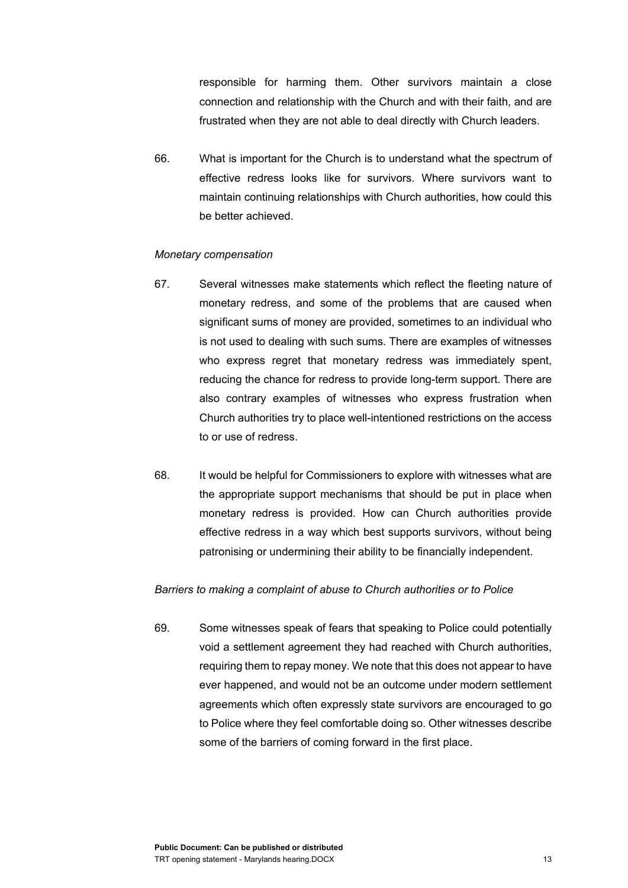responsible for harming them. Other survivors maintain a close connection and relationship with the Church and with their faith, and are frustrated when they are not able to deal directly with Church leaders.

66. What is important for the Church is to understand what the spectrum of effective redress looks like for survivors. Where survivors want to maintain continuing relationships with Church authorities, how could this be better achieved.

#### *Monetary compensation*

- 67. Several witnesses make statements which reflect the fleeting nature of monetary redress, and some of the problems that are caused when significant sums of money are provided, sometimes to an individual who is not used to dealing with such sums. There are examples of witnesses who express regret that monetary redress was immediately spent, reducing the chance for redress to provide long-term support. There are also contrary examples of witnesses who express frustration when Church authorities try to place well-intentioned restrictions on the access to or use of redress.
- 68. It would be helpful for Commissioners to explore with witnesses what are the appropriate support mechanisms that should be put in place when monetary redress is provided. How can Church authorities provide effective redress in a way which best supports survivors, without being patronising or undermining their ability to be financially independent.

#### *Barriers to making a complaint of abuse to Church authorities or to Police*

69. Some witnesses speak of fears that speaking to Police could potentially void a settlement agreement they had reached with Church authorities, requiring them to repay money. We note that this does not appear to have ever happened, and would not be an outcome under modern settlement agreements which often expressly state survivors are encouraged to go to Police where they feel comfortable doing so. Other witnesses describe some of the barriers of coming forward in the first place.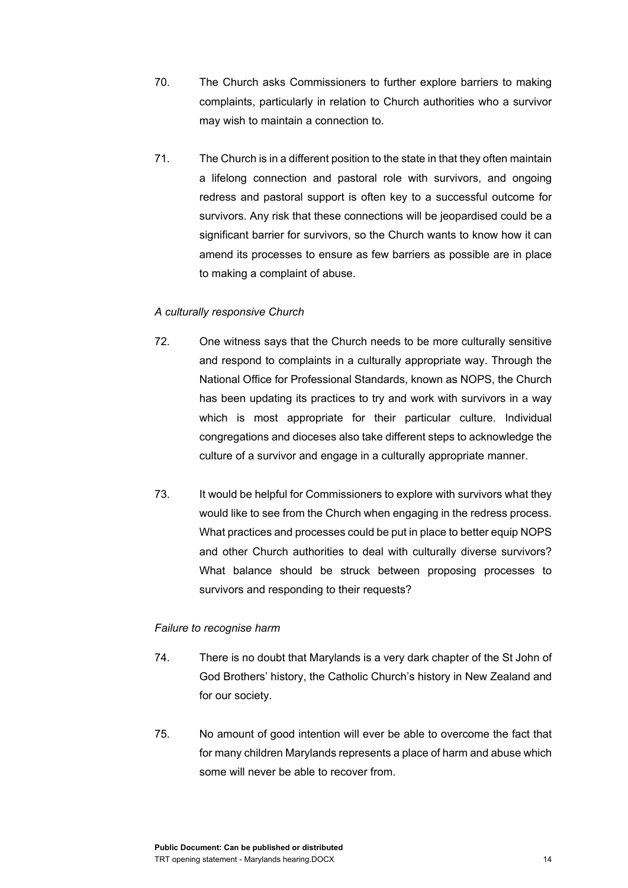- 70. The Church asks Commissioners to further explore barriers to making complaints, particularly in relation to Church authorities who a survivor may wish to maintain a connection to.
- 71. The Church is in a different position to the state in that they often maintain a lifelong connection and pastoral role with survivors, and ongoing redress and pastoral support is often key to a successful outcome for survivors. Any risk that these connections will be jeopardised could be a significant barrier for survivors, so the Church wants to know how it can amend its processes to ensure as few barriers as possible are in place to making a complaint of abuse.

## *A culturally responsive Church*

- 72. One witness says that the Church needs to be more culturally sensitive and respond to complaints in a culturally appropriate way. Through the National Office for Professional Standards, known as NOPS, the Church has been updating its practices to try and work with survivors in a way which is most appropriate for their particular culture. Individual congregations and dioceses also take different steps to acknowledge the culture of a survivor and engage in a culturally appropriate manner.
- 73. It would be helpful for Commissioners to explore with survivors what they would like to see from the Church when engaging in the redress process. What practices and processes could be put in place to better equip NOPS and other Church authorities to deal with culturally diverse survivors? What balance should be struck between proposing processes to survivors and responding to their requests?

## *Failure to recognise harm*

- 74. There is no doubt that Marylands is a very dark chapter of the St John of God Brothers' history, the Catholic Church's history in New Zealand and for our society.
- 75. No amount of good intention will ever be able to overcome the fact that for many children Marylands represents a place of harm and abuse which some will never be able to recover from.